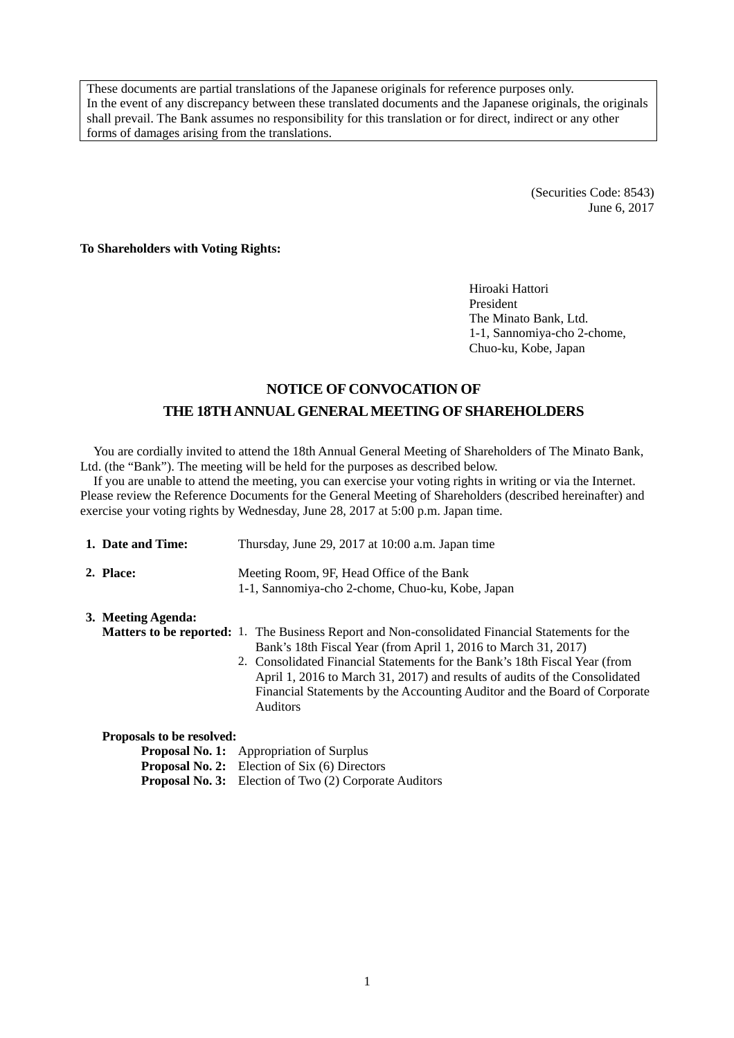These documents are partial translations of the Japanese originals for reference purposes only. In the event of any discrepancy between these translated documents and the Japanese originals, the originals shall prevail. The Bank assumes no responsibility for this translation or for direct, indirect or any other forms of damages arising from the translations.

> (Securities Code: 8543) June 6, 2017

**To Shareholders with Voting Rights:** 

Hiroaki Hattori President The Minato Bank, Ltd. 1-1, Sannomiya-cho 2-chome, Chuo-ku, Kobe, Japan

## **NOTICE OF CONVOCATION OF THE 18TH ANNUAL GENERAL MEETING OF SHAREHOLDERS**

You are cordially invited to attend the 18th Annual General Meeting of Shareholders of The Minato Bank, Ltd. (the "Bank"). The meeting will be held for the purposes as described below.

If you are unable to attend the meeting, you can exercise your voting rights in writing or via the Internet. Please review the Reference Documents for the General Meeting of Shareholders (described hereinafter) and exercise your voting rights by Wednesday, June 28, 2017 at 5:00 p.m. Japan time.

|                           | 1. Date and Time:  | Thursday, June 29, 2017 at 10:00 a.m. Japan time                                                                                                                                                                                                                                                                                                                                                                                      |  |  |
|---------------------------|--------------------|---------------------------------------------------------------------------------------------------------------------------------------------------------------------------------------------------------------------------------------------------------------------------------------------------------------------------------------------------------------------------------------------------------------------------------------|--|--|
|                           | 2. Place:          | Meeting Room, 9F, Head Office of the Bank<br>1-1, Sannomiya-cho 2-chome, Chuo-ku, Kobe, Japan                                                                                                                                                                                                                                                                                                                                         |  |  |
|                           | 3. Meeting Agenda: |                                                                                                                                                                                                                                                                                                                                                                                                                                       |  |  |
|                           |                    | <b>Matters to be reported:</b> 1. The Business Report and Non-consolidated Financial Statements for the<br>Bank's 18th Fiscal Year (from April 1, 2016 to March 31, 2017)<br>2. Consolidated Financial Statements for the Bank's 18th Fiscal Year (from<br>April 1, 2016 to March 31, 2017) and results of audits of the Consolidated<br>Financial Statements by the Accounting Auditor and the Board of Corporate<br><b>Auditors</b> |  |  |
| Proposals to be resolved: |                    |                                                                                                                                                                                                                                                                                                                                                                                                                                       |  |  |
|                           |                    | <b>Proposal No. 1:</b> Appropriation of Surplus                                                                                                                                                                                                                                                                                                                                                                                       |  |  |
|                           |                    | <b>Proposal No. 2:</b> Election of Six (6) Directors                                                                                                                                                                                                                                                                                                                                                                                  |  |  |

**Proposal No. 3:** Election of Two (2) Corporate Auditors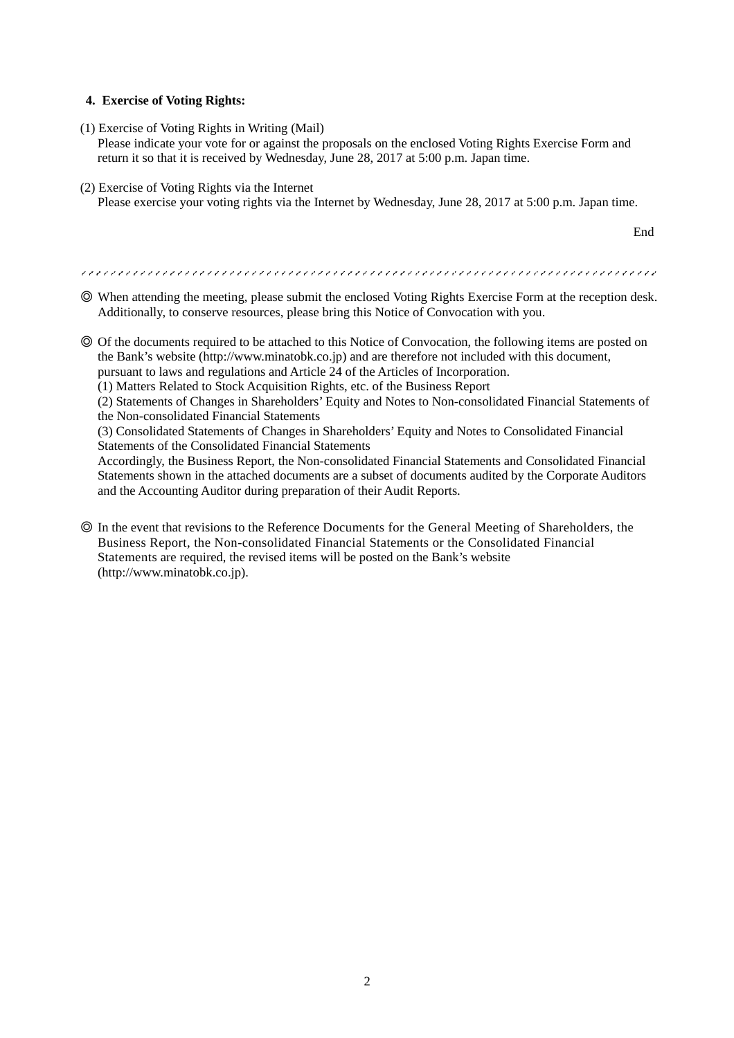### **4. Exercise of Voting Rights:**

(1) Exercise of Voting Rights in Writing (Mail)

Please indicate your vote for or against the proposals on the enclosed Voting Rights Exercise Form and return it so that it is received by Wednesday, June 28, 2017 at 5:00 p.m. Japan time.

(2) Exercise of Voting Rights via the Internet Please exercise your voting rights via the Internet by Wednesday, June 28, 2017 at 5:00 p.m. Japan time.

End

◎ When attending the meeting, please submit the enclosed Voting Rights Exercise Form at the reception desk.

Additionally, to conserve resources, please bring this Notice of Convocation with you.

◎ Of the documents required to be attached to this Notice of Convocation, the following items are posted on the Bank's website (http://www.minatobk.co.jp) and are therefore not included with this document,

pursuant to laws and regulations and Article 24 of the Articles of Incorporation.

(1) Matters Related to Stock Acquisition Rights, etc. of the Business Report

(2) Statements of Changes in Shareholders' Equity and Notes to Non-consolidated Financial Statements of the Non-consolidated Financial Statements

(3) Consolidated Statements of Changes in Shareholders' Equity and Notes to Consolidated Financial Statements of the Consolidated Financial Statements

Accordingly, the Business Report, the Non-consolidated Financial Statements and Consolidated Financial Statements shown in the attached documents are a subset of documents audited by the Corporate Auditors and the Accounting Auditor during preparation of their Audit Reports.

◎ In the event that revisions to the Reference Documents for the General Meeting of Shareholders, the Business Report, the Non-consolidated Financial Statements or the Consolidated Financial Statements are required, the revised items will be posted on the Bank's website (http://www.minatobk.co.jp).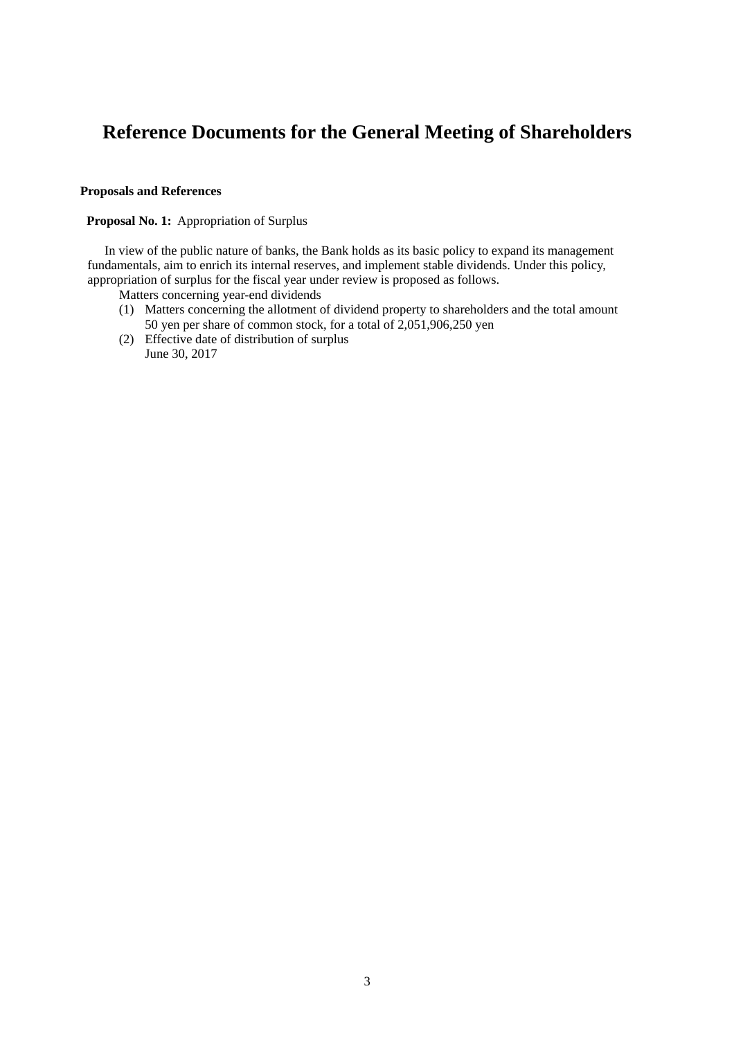# **Reference Documents for the General Meeting of Shareholders**

### **Proposals and References**

#### **Proposal No. 1:** Appropriation of Surplus

In view of the public nature of banks, the Bank holds as its basic policy to expand its management fundamentals, aim to enrich its internal reserves, and implement stable dividends. Under this policy, appropriation of surplus for the fiscal year under review is proposed as follows.

- Matters concerning year-end dividends
- (1) Matters concerning the allotment of dividend property to shareholders and the total amount 50 yen per share of common stock, for a total of 2,051,906,250 yen
- (2) Effective date of distribution of surplus June 30, 2017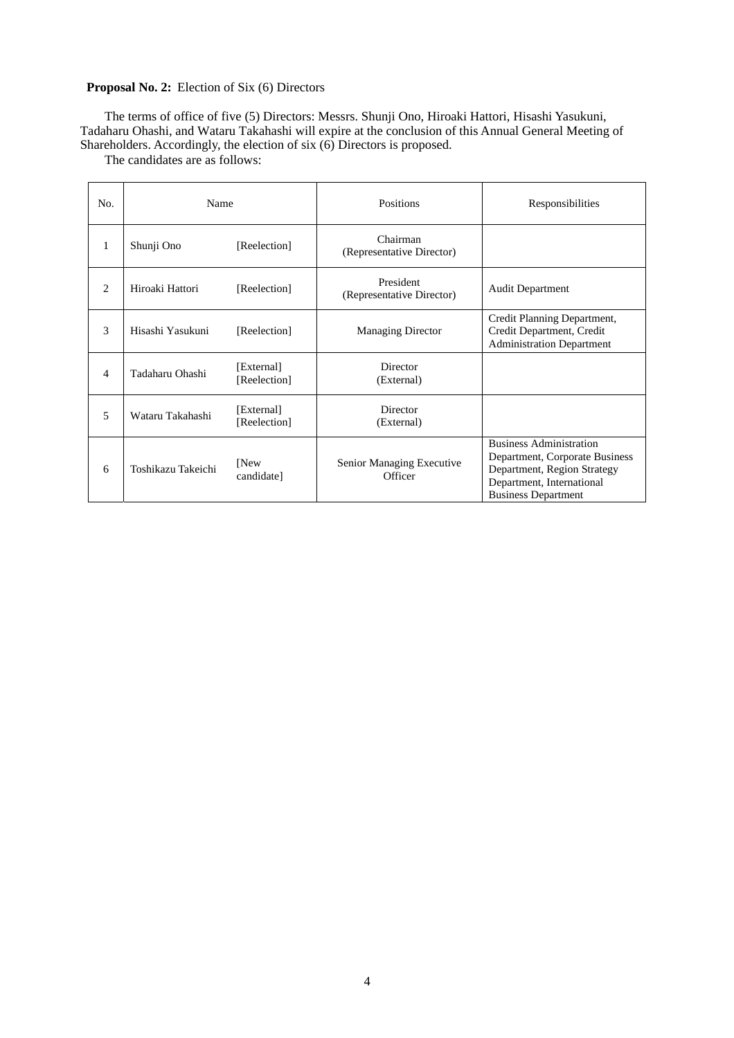### **Proposal No. 2:** Election of Six (6) Directors

The terms of office of five (5) Directors: Messrs. Shunji Ono, Hiroaki Hattori, Hisashi Yasukuni, Tadaharu Ohashi, and Wataru Takahashi will expire at the conclusion of this Annual General Meeting of Shareholders. Accordingly, the election of six (6) Directors is proposed.

The candidates are as follows:

| No.            | Name               |                            | <b>Positions</b>                       | Responsibilities                                                                                                                                           |
|----------------|--------------------|----------------------------|----------------------------------------|------------------------------------------------------------------------------------------------------------------------------------------------------------|
| 1              | Shunji Ono         | [Reelection]               | Chairman<br>(Representative Director)  |                                                                                                                                                            |
| $\overline{c}$ | Hiroaki Hattori    | [Reelection]               | President<br>(Representative Director) | <b>Audit Department</b>                                                                                                                                    |
| 3              | Hisashi Yasukuni   | [Reelection]               | <b>Managing Director</b>               | Credit Planning Department,<br>Credit Department, Credit<br><b>Administration Department</b>                                                               |
| 4              | Tadaharu Ohashi    | [External]<br>[Reelection] | Director<br>(External)                 |                                                                                                                                                            |
| 5              | Wataru Takahashi   | [External]<br>[Reelection] | Director<br>(External)                 |                                                                                                                                                            |
| 6              | Toshikazu Takeichi | [New<br>candidate]         | Senior Managing Executive<br>Officer   | <b>Business Administration</b><br>Department, Corporate Business<br>Department, Region Strategy<br>Department, International<br><b>Business Department</b> |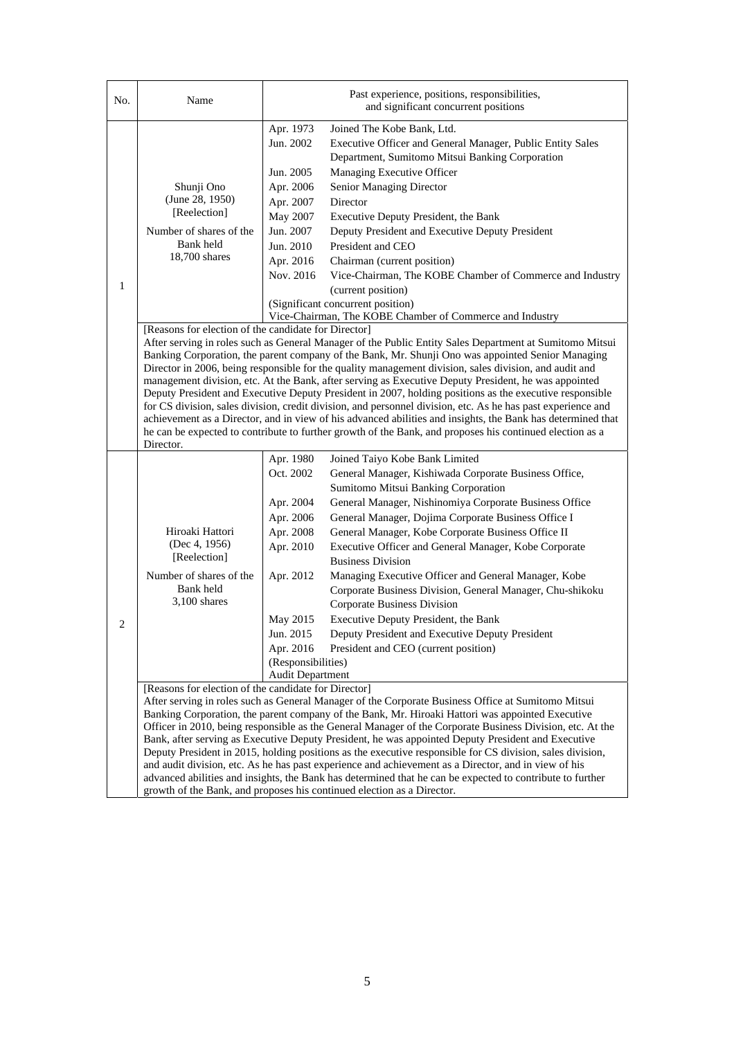| No. | Name                                                                                                                                                                                                                                                                                                                                                                                                                                                                                                                                                                                                                                                                                                                                                                                                                                                                                                                                                      | Past experience, positions, responsibilities,<br>and significant concurrent positions                                                                                          |                                                                                                                                                                                                                                                                                                                                                                                                                                                                                                                                                                                                                                                                                                                                                                                                                                                                                                                                                                                                                                                                                                                                                                                                                                                                                                                                                                                                                                                  |  |
|-----|-----------------------------------------------------------------------------------------------------------------------------------------------------------------------------------------------------------------------------------------------------------------------------------------------------------------------------------------------------------------------------------------------------------------------------------------------------------------------------------------------------------------------------------------------------------------------------------------------------------------------------------------------------------------------------------------------------------------------------------------------------------------------------------------------------------------------------------------------------------------------------------------------------------------------------------------------------------|--------------------------------------------------------------------------------------------------------------------------------------------------------------------------------|--------------------------------------------------------------------------------------------------------------------------------------------------------------------------------------------------------------------------------------------------------------------------------------------------------------------------------------------------------------------------------------------------------------------------------------------------------------------------------------------------------------------------------------------------------------------------------------------------------------------------------------------------------------------------------------------------------------------------------------------------------------------------------------------------------------------------------------------------------------------------------------------------------------------------------------------------------------------------------------------------------------------------------------------------------------------------------------------------------------------------------------------------------------------------------------------------------------------------------------------------------------------------------------------------------------------------------------------------------------------------------------------------------------------------------------------------|--|
| 1   | Shunji Ono<br>(June 28, 1950)<br>[Reelection]<br>Number of shares of the<br>Bank held<br>18,700 shares                                                                                                                                                                                                                                                                                                                                                                                                                                                                                                                                                                                                                                                                                                                                                                                                                                                    | Apr. 1973<br>Jun. 2002<br>Jun. 2005<br>Apr. 2006<br>Apr. 2007<br>May 2007<br>Jun. 2007<br>Jun. 2010<br>Apr. 2016<br>Nov. 2016                                                  | Joined The Kobe Bank, Ltd.<br>Executive Officer and General Manager, Public Entity Sales<br>Department, Sumitomo Mitsui Banking Corporation<br>Managing Executive Officer<br>Senior Managing Director<br>Director<br>Executive Deputy President, the Bank<br>Deputy President and Executive Deputy President<br>President and CEO<br>Chairman (current position)<br>Vice-Chairman, The KOBE Chamber of Commerce and Industry<br>(current position)<br>(Significant concurrent position)<br>Vice-Chairman, The KOBE Chamber of Commerce and Industry                                                                                                                                                                                                                                                                                                                                                                                                                                                                                                                                                                                                                                                                                                                                                                                                                                                                                              |  |
|     | [Reasons for election of the candidate for Director]<br>After serving in roles such as General Manager of the Public Entity Sales Department at Sumitomo Mitsui<br>Banking Corporation, the parent company of the Bank, Mr. Shunji Ono was appointed Senior Managing<br>Director in 2006, being responsible for the quality management division, sales division, and audit and<br>management division, etc. At the Bank, after serving as Executive Deputy President, he was appointed<br>Deputy President and Executive Deputy President in 2007, holding positions as the executive responsible<br>for CS division, sales division, credit division, and personnel division, etc. As he has past experience and<br>achievement as a Director, and in view of his advanced abilities and insights, the Bank has determined that<br>he can be expected to contribute to further growth of the Bank, and proposes his continued election as a<br>Director. |                                                                                                                                                                                |                                                                                                                                                                                                                                                                                                                                                                                                                                                                                                                                                                                                                                                                                                                                                                                                                                                                                                                                                                                                                                                                                                                                                                                                                                                                                                                                                                                                                                                  |  |
| 2   | Hiroaki Hattori<br>(Dec 4, 1956)<br>[Reelection]<br>Number of shares of the<br>Bank held<br>$3,100$ shares<br>[Reasons for election of the candidate for Director]                                                                                                                                                                                                                                                                                                                                                                                                                                                                                                                                                                                                                                                                                                                                                                                        | Apr. 1980<br>Oct. 2002<br>Apr. 2004<br>Apr. 2006<br>Apr. 2008<br>Apr. 2010<br>Apr. 2012<br>May 2015<br>Jun. 2015<br>Apr. 2016<br>(Responsibilities)<br><b>Audit Department</b> | Joined Taiyo Kobe Bank Limited<br>General Manager, Kishiwada Corporate Business Office,<br>Sumitomo Mitsui Banking Corporation<br>General Manager, Nishinomiya Corporate Business Office<br>General Manager, Dojima Corporate Business Office I<br>General Manager, Kobe Corporate Business Office II<br>Executive Officer and General Manager, Kobe Corporate<br><b>Business Division</b><br>Managing Executive Officer and General Manager, Kobe<br>Corporate Business Division, General Manager, Chu-shikoku<br>Corporate Business Division<br>Executive Deputy President, the Bank<br>Deputy President and Executive Deputy President<br>President and CEO (current position)<br>After serving in roles such as General Manager of the Corporate Business Office at Sumitomo Mitsui<br>Banking Corporation, the parent company of the Bank, Mr. Hiroaki Hattori was appointed Executive<br>Officer in 2010, being responsible as the General Manager of the Corporate Business Division, etc. At the<br>Bank, after serving as Executive Deputy President, he was appointed Deputy President and Executive<br>Deputy President in 2015, holding positions as the executive responsible for CS division, sales division,<br>and audit division, etc. As he has past experience and achievement as a Director, and in view of his<br>advanced abilities and insights, the Bank has determined that he can be expected to contribute to further |  |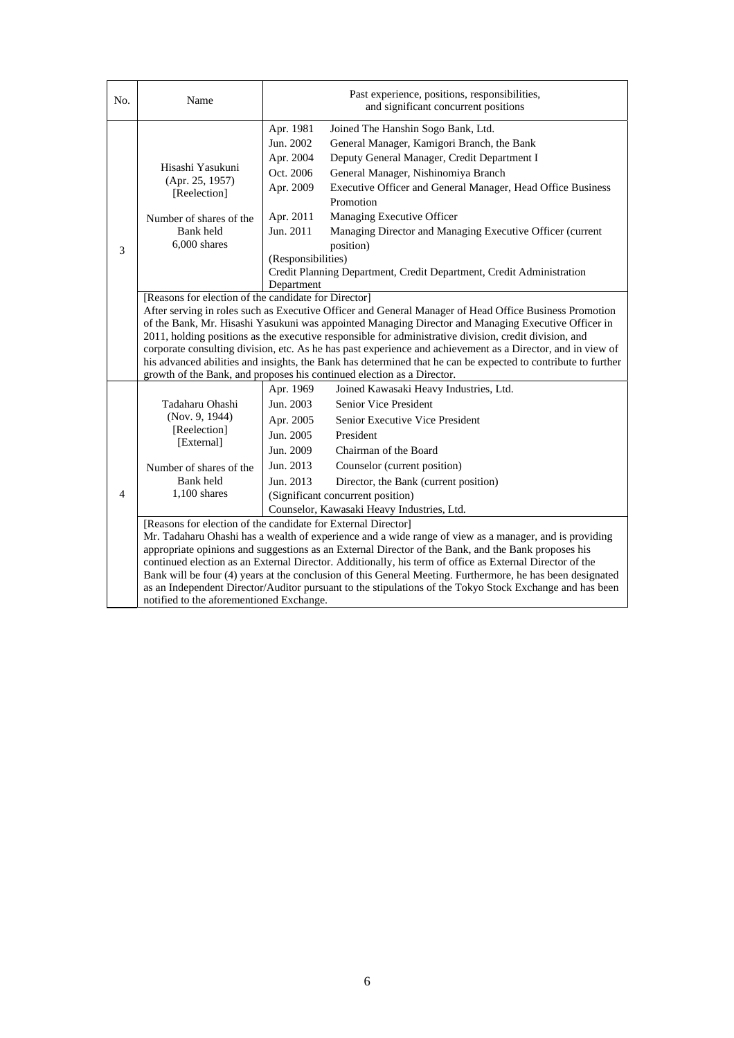| No. | Name                                                                                                                                                                                                                                                                                                                                                                                                                                                                                                                                                                                                                                                                                      | Past experience, positions, responsibilities,<br>and significant concurrent positions                                                                                                                                                                                                                                                                                                                                                                                                                                                                             |  |  |
|-----|-------------------------------------------------------------------------------------------------------------------------------------------------------------------------------------------------------------------------------------------------------------------------------------------------------------------------------------------------------------------------------------------------------------------------------------------------------------------------------------------------------------------------------------------------------------------------------------------------------------------------------------------------------------------------------------------|-------------------------------------------------------------------------------------------------------------------------------------------------------------------------------------------------------------------------------------------------------------------------------------------------------------------------------------------------------------------------------------------------------------------------------------------------------------------------------------------------------------------------------------------------------------------|--|--|
| 3   | Hisashi Yasukuni<br>(Apr. 25, 1957)<br>[Reelection]<br>Number of shares of the<br>Bank held<br>$6.000$ shares                                                                                                                                                                                                                                                                                                                                                                                                                                                                                                                                                                             | Apr. 1981<br>Joined The Hanshin Sogo Bank, Ltd.<br>Jun. 2002<br>General Manager, Kamigori Branch, the Bank<br>Apr. 2004<br>Deputy General Manager, Credit Department I<br>Oct. 2006<br>General Manager, Nishinomiya Branch<br>Executive Officer and General Manager, Head Office Business<br>Apr. 2009<br>Promotion<br>Apr. 2011<br>Managing Executive Officer<br>Jun. 2011<br>Managing Director and Managing Executive Officer (current<br>position)<br>(Responsibilities)<br>Credit Planning Department, Credit Department, Credit Administration<br>Department |  |  |
|     | [Reasons for election of the candidate for Director]<br>After serving in roles such as Executive Officer and General Manager of Head Office Business Promotion<br>of the Bank, Mr. Hisashi Yasukuni was appointed Managing Director and Managing Executive Officer in<br>2011, holding positions as the executive responsible for administrative division, credit division, and<br>corporate consulting division, etc. As he has past experience and achievement as a Director, and in view of<br>his advanced abilities and insights, the Bank has determined that he can be expected to contribute to further<br>growth of the Bank, and proposes his continued election as a Director. |                                                                                                                                                                                                                                                                                                                                                                                                                                                                                                                                                                   |  |  |
| 4   | Tadaharu Ohashi<br>(Nov. 9, 1944)<br>[Reelection]<br>[External]<br>Number of shares of the<br>Bank held<br>$1.100$ shares                                                                                                                                                                                                                                                                                                                                                                                                                                                                                                                                                                 | Apr. 1969<br>Joined Kawasaki Heavy Industries, Ltd.<br>Jun. 2003<br>Senior Vice President<br>Apr. 2005<br>Senior Executive Vice President<br>Jun. 2005<br>President<br>Jun. 2009<br>Chairman of the Board<br>Jun. 2013<br>Counselor (current position)<br>Jun. 2013<br>Director, the Bank (current position)<br>(Significant concurrent position)<br>Counselor, Kawasaki Heavy Industries, Ltd.                                                                                                                                                                   |  |  |
|     | [Reasons for election of the candidate for External Director]<br>Mr. Tadaharu Ohashi has a wealth of experience and a wide range of view as a manager, and is providing<br>appropriate opinions and suggestions as an External Director of the Bank, and the Bank proposes his<br>continued election as an External Director. Additionally, his term of office as External Director of the<br>Bank will be four (4) years at the conclusion of this General Meeting. Furthermore, he has been designated<br>as an Independent Director/Auditor pursuant to the stipulations of the Tokyo Stock Exchange and has been<br>notified to the aforementioned Exchange.                          |                                                                                                                                                                                                                                                                                                                                                                                                                                                                                                                                                                   |  |  |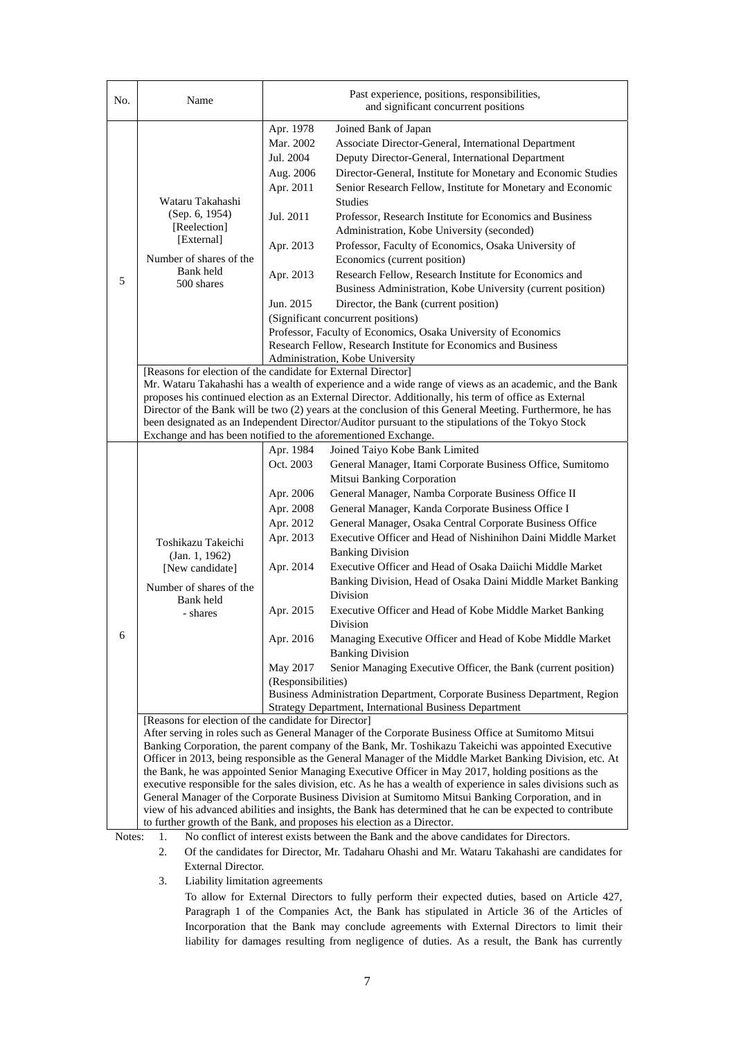| No.    | Name                                                                                                                                                                                                                                                                                                                                                                                                                                                                                                                                                                                                                                                                                                                            |                                                                                                                                                     | Past experience, positions, responsibilities,<br>and significant concurrent positions                                                                                                                                                                                                                                                                                                                                                                                                                                                                                                                                                                                                                                                                                                                                                                                                                                                                                                                                                                                                                                                      |  |  |
|--------|---------------------------------------------------------------------------------------------------------------------------------------------------------------------------------------------------------------------------------------------------------------------------------------------------------------------------------------------------------------------------------------------------------------------------------------------------------------------------------------------------------------------------------------------------------------------------------------------------------------------------------------------------------------------------------------------------------------------------------|-----------------------------------------------------------------------------------------------------------------------------------------------------|--------------------------------------------------------------------------------------------------------------------------------------------------------------------------------------------------------------------------------------------------------------------------------------------------------------------------------------------------------------------------------------------------------------------------------------------------------------------------------------------------------------------------------------------------------------------------------------------------------------------------------------------------------------------------------------------------------------------------------------------------------------------------------------------------------------------------------------------------------------------------------------------------------------------------------------------------------------------------------------------------------------------------------------------------------------------------------------------------------------------------------------------|--|--|
| 5      | Wataru Takahashi<br>(Sep. 6, 1954)<br>[Reelection]<br>[External]<br>Number of shares of the<br>Bank held<br>500 shares                                                                                                                                                                                                                                                                                                                                                                                                                                                                                                                                                                                                          | Apr. 1978<br>Mar. 2002<br>Jul. 2004<br>Aug. 2006<br>Apr. 2011<br>Jul. 2011<br>Apr. 2013<br>Apr. 2013<br>Jun. 2015                                   | Joined Bank of Japan<br>Associate Director-General, International Department<br>Deputy Director-General, International Department<br>Director-General, Institute for Monetary and Economic Studies<br>Senior Research Fellow, Institute for Monetary and Economic<br><b>Studies</b><br>Professor, Research Institute for Economics and Business<br>Administration, Kobe University (seconded)<br>Professor, Faculty of Economics, Osaka University of<br>Economics (current position)<br>Research Fellow, Research Institute for Economics and<br>Business Administration, Kobe University (current position)<br>Director, the Bank (current position)<br>(Significant concurrent positions)<br>Professor, Faculty of Economics, Osaka University of Economics<br>Research Fellow, Research Institute for Economics and Business<br>Administration, Kobe University                                                                                                                                                                                                                                                                        |  |  |
|        | [Reasons for election of the candidate for External Director]<br>Mr. Wataru Takahashi has a wealth of experience and a wide range of views as an academic, and the Bank<br>proposes his continued election as an External Director. Additionally, his term of office as External<br>Director of the Bank will be two (2) years at the conclusion of this General Meeting. Furthermore, he has<br>been designated as an Independent Director/Auditor pursuant to the stipulations of the Tokyo Stock<br>Exchange and has been notified to the aforementioned Exchange.                                                                                                                                                           |                                                                                                                                                     |                                                                                                                                                                                                                                                                                                                                                                                                                                                                                                                                                                                                                                                                                                                                                                                                                                                                                                                                                                                                                                                                                                                                            |  |  |
| 6      | Toshikazu Takeichi<br>(Jan. 1, 1962)<br>[New candidate]<br>Number of shares of the<br>Bank held<br>- shares<br>[Reasons for election of the candidate for Director]                                                                                                                                                                                                                                                                                                                                                                                                                                                                                                                                                             | Apr. 1984<br>Oct. 2003<br>Apr. 2006<br>Apr. 2008<br>Apr. 2012<br>Apr. 2013<br>Apr. 2014<br>Apr. 2015<br>Apr. 2016<br>May 2017<br>(Responsibilities) | Joined Taiyo Kobe Bank Limited<br>General Manager, Itami Corporate Business Office, Sumitomo<br>Mitsui Banking Corporation<br>General Manager, Namba Corporate Business Office II<br>General Manager, Kanda Corporate Business Office I<br>General Manager, Osaka Central Corporate Business Office<br>Executive Officer and Head of Nishinihon Daini Middle Market<br><b>Banking Division</b><br>Executive Officer and Head of Osaka Daiichi Middle Market<br>Banking Division, Head of Osaka Daini Middle Market Banking<br><b>Division</b><br>Executive Officer and Head of Kobe Middle Market Banking<br>Division<br>Managing Executive Officer and Head of Kobe Middle Market<br><b>Banking Division</b><br>Senior Managing Executive Officer, the Bank (current position)<br>Business Administration Department, Corporate Business Department, Region<br><b>Strategy Department, International Business Department</b><br>After serving in roles such as General Manager of the Corporate Business Office at Sumitomo Mitsui<br>Banking Corporation, the parent company of the Bank, Mr. Toshikazu Takeichi was appointed Executive |  |  |
| Notes: | Officer in 2013, being responsible as the General Manager of the Middle Market Banking Division, etc. At<br>the Bank, he was appointed Senior Managing Executive Officer in May 2017, holding positions as the<br>executive responsible for the sales division, etc. As he has a wealth of experience in sales divisions such as<br>General Manager of the Corporate Business Division at Sumitomo Mitsui Banking Corporation, and in<br>view of his advanced abilities and insights, the Bank has determined that he can be expected to contribute<br>to further growth of the Bank, and proposes his election as a Director.<br>No conflict of interest exists between the Bank and the above candidates for Directors.<br>1. |                                                                                                                                                     |                                                                                                                                                                                                                                                                                                                                                                                                                                                                                                                                                                                                                                                                                                                                                                                                                                                                                                                                                                                                                                                                                                                                            |  |  |

2. Of the candidates for Director, Mr. Tadaharu Ohashi and Mr. Wataru Takahashi are candidates for External Director.

3. Liability limitation agreements

To allow for External Directors to fully perform their expected duties, based on Article 427, Paragraph 1 of the Companies Act, the Bank has stipulated in Article 36 of the Articles of Incorporation that the Bank may conclude agreements with External Directors to limit their liability for damages resulting from negligence of duties. As a result, the Bank has currently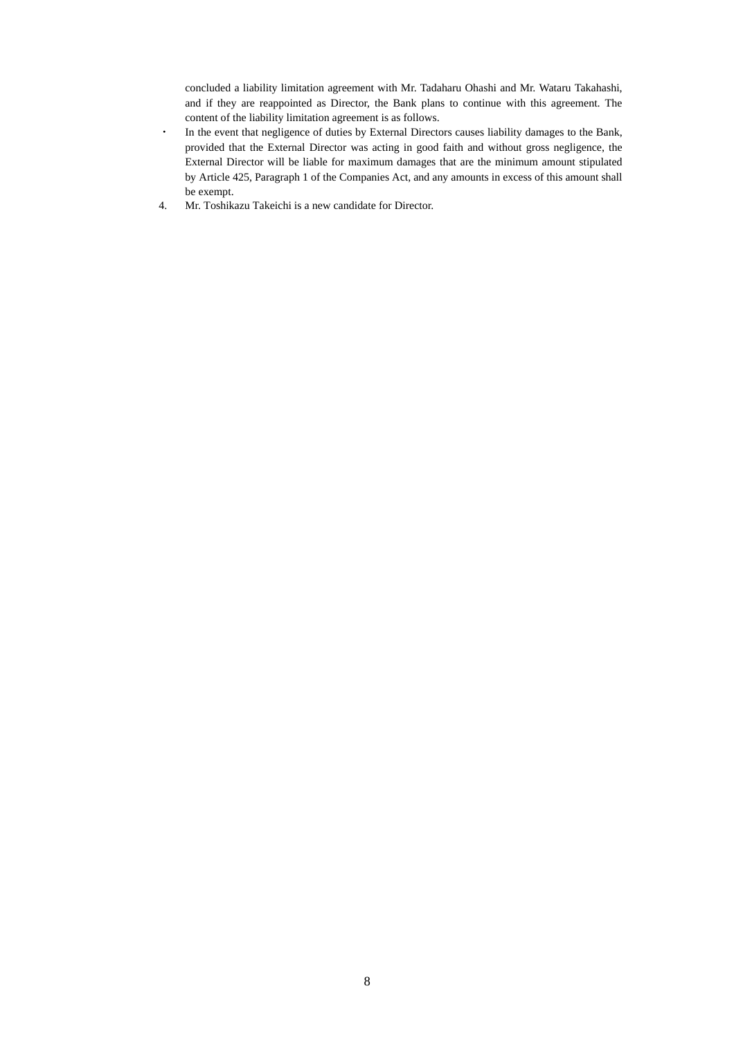concluded a liability limitation agreement with Mr. Tadaharu Ohashi and Mr. Wataru Takahashi, and if they are reappointed as Director, the Bank plans to continue with this agreement. The content of the liability limitation agreement is as follows.

- ・ In the event that negligence of duties by External Directors causes liability damages to the Bank, provided that the External Director was acting in good faith and without gross negligence, the External Director will be liable for maximum damages that are the minimum amount stipulated by Article 425, Paragraph 1 of the Companies Act, and any amounts in excess of this amount shall be exempt.
- 4. Mr. Toshikazu Takeichi is a new candidate for Director.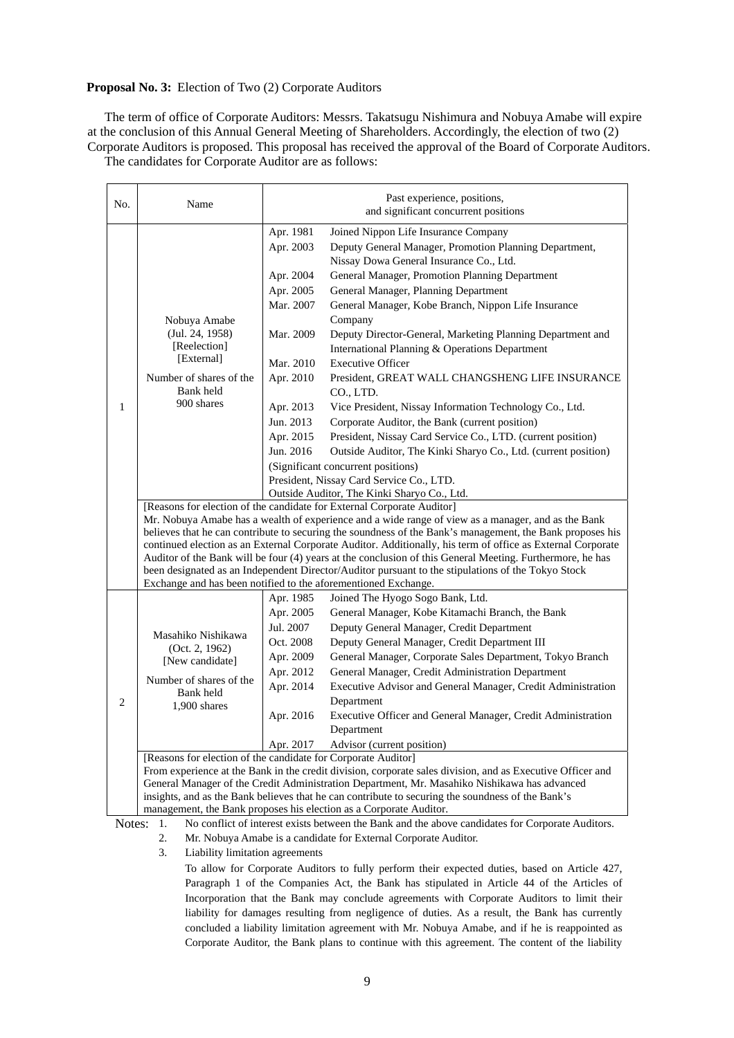### **Proposal No. 3:** Election of Two (2) Corporate Auditors

The term of office of Corporate Auditors: Messrs. Takatsugu Nishimura and Nobuya Amabe will expire at the conclusion of this Annual General Meeting of Shareholders. Accordingly, the election of two (2) Corporate Auditors is proposed. This proposal has received the approval of the Board of Corporate Auditors.

The candidates for Corporate Auditor are as follows:

| No.            | Name                                                                                                                                                                                                                                                                                                                                                                                                                                                                                                                                                                                                                                                                                                                                         | Past experience, positions,<br>and significant concurrent positions                                                                                      |                                                                                                                                                                                                                                                                                                                                                                                                                                                                                                                                                                                                                                                                                                                                                                                                                                                                                         |  |
|----------------|----------------------------------------------------------------------------------------------------------------------------------------------------------------------------------------------------------------------------------------------------------------------------------------------------------------------------------------------------------------------------------------------------------------------------------------------------------------------------------------------------------------------------------------------------------------------------------------------------------------------------------------------------------------------------------------------------------------------------------------------|----------------------------------------------------------------------------------------------------------------------------------------------------------|-----------------------------------------------------------------------------------------------------------------------------------------------------------------------------------------------------------------------------------------------------------------------------------------------------------------------------------------------------------------------------------------------------------------------------------------------------------------------------------------------------------------------------------------------------------------------------------------------------------------------------------------------------------------------------------------------------------------------------------------------------------------------------------------------------------------------------------------------------------------------------------------|--|
| $\mathbf{1}$   | Nobuya Amabe<br>(Jul. 24, 1958)<br>[Reelection]<br>[External]<br>Number of shares of the<br>Bank held<br>900 shares                                                                                                                                                                                                                                                                                                                                                                                                                                                                                                                                                                                                                          | Apr. 1981<br>Apr. 2003<br>Apr. 2004<br>Apr. 2005<br>Mar. 2007<br>Mar. 2009<br>Mar. 2010<br>Apr. 2010<br>Apr. 2013<br>Jun. 2013<br>Apr. 2015<br>Jun. 2016 | Joined Nippon Life Insurance Company<br>Deputy General Manager, Promotion Planning Department,<br>Nissay Dowa General Insurance Co., Ltd.<br>General Manager, Promotion Planning Department<br>General Manager, Planning Department<br>General Manager, Kobe Branch, Nippon Life Insurance<br>Company<br>Deputy Director-General, Marketing Planning Department and<br>International Planning & Operations Department<br><b>Executive Officer</b><br>President, GREAT WALL CHANGSHENG LIFE INSURANCE<br>CO., LTD.<br>Vice President, Nissay Information Technology Co., Ltd.<br>Corporate Auditor, the Bank (current position)<br>President, Nissay Card Service Co., LTD. (current position)<br>Outside Auditor, The Kinki Sharyo Co., Ltd. (current position)<br>(Significant concurrent positions)<br>President, Nissay Card Service Co., LTD.                                       |  |
|                | Outside Auditor, The Kinki Sharyo Co., Ltd.<br>[Reasons for election of the candidate for External Corporate Auditor]<br>Mr. Nobuya Amabe has a wealth of experience and a wide range of view as a manager, and as the Bank<br>believes that he can contribute to securing the soundness of the Bank's management, the Bank proposes his<br>continued election as an External Corporate Auditor. Additionally, his term of office as External Corporate<br>Auditor of the Bank will be four (4) years at the conclusion of this General Meeting. Furthermore, he has<br>been designated as an Independent Director/Auditor pursuant to the stipulations of the Tokyo Stock<br>Exchange and has been notified to the aforementioned Exchange. |                                                                                                                                                          |                                                                                                                                                                                                                                                                                                                                                                                                                                                                                                                                                                                                                                                                                                                                                                                                                                                                                         |  |
| $\overline{c}$ | Masahiko Nishikawa<br>(Oct. 2, 1962)<br>[New candidate]<br>Number of shares of the<br>Bank held<br>1,900 shares<br>[Reasons for election of the candidate for Corporate Auditor]                                                                                                                                                                                                                                                                                                                                                                                                                                                                                                                                                             | Apr. 1985<br>Apr. 2005<br>Jul. 2007<br>Oct. 2008<br>Apr. 2009<br>Apr. 2012<br>Apr. 2014<br>Apr. 2016<br>Apr. 2017                                        | Joined The Hyogo Sogo Bank, Ltd.<br>General Manager, Kobe Kitamachi Branch, the Bank<br>Deputy General Manager, Credit Department<br>Deputy General Manager, Credit Department III<br>General Manager, Corporate Sales Department, Tokyo Branch<br>General Manager, Credit Administration Department<br>Executive Advisor and General Manager, Credit Administration<br>Department<br>Executive Officer and General Manager, Credit Administration<br>Department<br>Advisor (current position)<br>From experience at the Bank in the credit division, corporate sales division, and as Executive Officer and<br>General Manager of the Credit Administration Department, Mr. Masahiko Nishikawa has advanced<br>insights, and as the Bank believes that he can contribute to securing the soundness of the Bank's<br>management, the Bank proposes his election as a Corporate Auditor. |  |

Notes: 1. No conflict of interest exists between the Bank and the above candidates for Corporate Auditors.

- 2. Mr. Nobuya Amabe is a candidate for External Corporate Auditor.
	- 3. Liability limitation agreements

To allow for Corporate Auditors to fully perform their expected duties, based on Article 427, Paragraph 1 of the Companies Act, the Bank has stipulated in Article 44 of the Articles of Incorporation that the Bank may conclude agreements with Corporate Auditors to limit their liability for damages resulting from negligence of duties. As a result, the Bank has currently concluded a liability limitation agreement with Mr. Nobuya Amabe, and if he is reappointed as Corporate Auditor, the Bank plans to continue with this agreement. The content of the liability